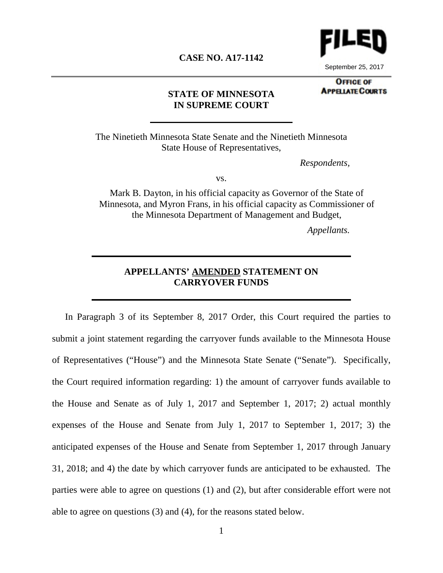

September 25, 2017

#### **CASE NO. A17-1142**

**OFFICE OF APPELATE COURTS** 

#### **STATE OF MINNESOTA IN SUPREME COURT**

The Ninetieth Minnesota State Senate and the Ninetieth Minnesota State House of Representatives,

*Respondents,*

vs.

Mark B. Dayton, in his official capacity as Governor of the State of Minnesota, and Myron Frans, in his official capacity as Commissioner of the Minnesota Department of Management and Budget,

*Appellants.*

## **APPELLANTS' AMENDED STATEMENT ON CARRYOVER FUNDS**

In Paragraph 3 of its September 8, 2017 Order, this Court required the parties to submit a joint statement regarding the carryover funds available to the Minnesota House of Representatives ("House") and the Minnesota State Senate ("Senate"). Specifically, the Court required information regarding: 1) the amount of carryover funds available to the House and Senate as of July 1, 2017 and September 1, 2017; 2) actual monthly expenses of the House and Senate from July 1, 2017 to September 1, 2017; 3) the anticipated expenses of the House and Senate from September 1, 2017 through January 31, 2018; and 4) the date by which carryover funds are anticipated to be exhausted. The parties were able to agree on questions (1) and (2), but after considerable effort were not able to agree on questions (3) and (4), for the reasons stated below.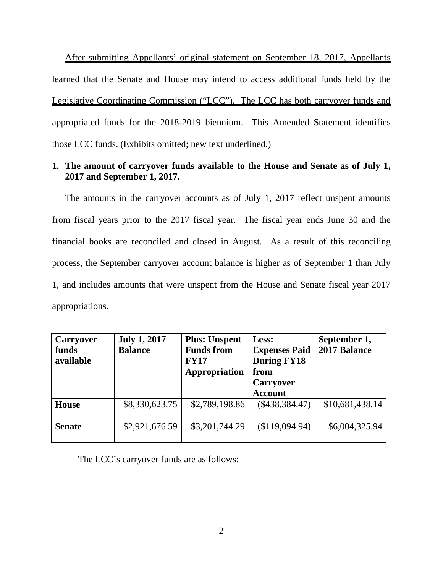After submitting Appellants' original statement on September 18, 2017, Appellants learned that the Senate and House may intend to access additional funds held by the Legislative Coordinating Commission ("LCC"). The LCC has both carryover funds and appropriated funds for the 2018-2019 biennium. This Amended Statement identifies those LCC funds. (Exhibits omitted; new text underlined.)

## **1. The amount of carryover funds available to the House and Senate as of July 1, 2017 and September 1, 2017.**

The amounts in the carryover accounts as of July 1, 2017 reflect unspent amounts from fiscal years prior to the 2017 fiscal year. The fiscal year ends June 30 and the financial books are reconciled and closed in August. As a result of this reconciling process, the September carryover account balance is higher as of September 1 than July 1, and includes amounts that were unspent from the House and Senate fiscal year 2017 appropriations.

| Carryover<br>funds<br>available | <b>July 1, 2017</b><br><b>Balance</b> | <b>Plus: Unspent</b><br><b>Funds from</b><br><b>FY17</b><br>Appropriation | Less:<br><b>Expenses Paid</b><br><b>During FY18</b><br>from<br><b>Carryover</b> | September 1,<br>2017 Balance |
|---------------------------------|---------------------------------------|---------------------------------------------------------------------------|---------------------------------------------------------------------------------|------------------------------|
|                                 |                                       |                                                                           | <b>Account</b>                                                                  |                              |
| <b>House</b>                    | \$8,330,623.75                        | \$2,789,198.86                                                            | $(\$438,384.47)$                                                                | \$10,681,438.14              |
| <b>Senate</b>                   | \$2,921,676.59                        | \$3,201,744.29                                                            | (\$119,094.94)                                                                  | \$6,004,325.94               |

#### The LCC's carryover funds are as follows: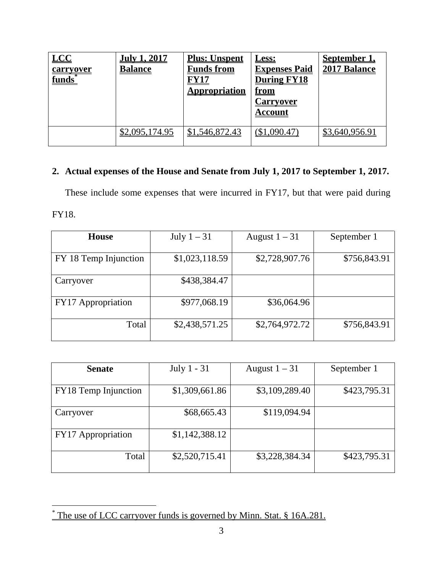| <b>LCC</b><br><u>carryover</u><br>funds* | <u>July 1, 2017</u><br><b>Balance</b> | <b>Plus: Unspent</b><br><u>Funds from</u><br><u> FY17</u><br><b>Appropriation</b> | <u>Less:</u><br><b>Expenses Paid</b><br>During FY18<br><u>from</u><br><u>Carryover</u><br><b>Account</b> | <b>September</b> 1<br>2017 Balance |
|------------------------------------------|---------------------------------------|-----------------------------------------------------------------------------------|----------------------------------------------------------------------------------------------------------|------------------------------------|
|                                          | \$2,095,174.95                        | \$1,546,872.43                                                                    | (\$1,090.47)                                                                                             | \$3,640,956.91                     |

# **2. Actual expenses of the House and Senate from July 1, 2017 to September 1, 2017.**

These include some expenses that were incurred in FY17, but that were paid during FY18.

| <b>House</b>          | July $1-31$    | August $1 - 31$ | September 1  |
|-----------------------|----------------|-----------------|--------------|
|                       |                |                 |              |
| FY 18 Temp Injunction | \$1,023,118.59 | \$2,728,907.76  | \$756,843.91 |
| Carryover             | \$438,384.47   |                 |              |
| FY17 Appropriation    | \$977,068.19   | \$36,064.96     |              |
| Total                 | \$2,438,571.25 | \$2,764,972.72  | \$756,843.91 |

| <b>Senate</b>        | July 1 - 31    | August $1 - 31$ | September 1  |
|----------------------|----------------|-----------------|--------------|
| FY18 Temp Injunction | \$1,309,661.86 | \$3,109,289.40  | \$423,795.31 |
| Carryover            | \$68,665.43    | \$119,094.94    |              |
| FY17 Appropriation   | \$1,142,388.12 |                 |              |
| Total                | \$2,520,715.41 | \$3,228,384.34  | \$423,795.31 |

<span id="page-2-0"></span><sup>&</sup>lt;sup>\*</sup> The use of LCC carryover funds is governed by Minn. Stat. § 16A.281.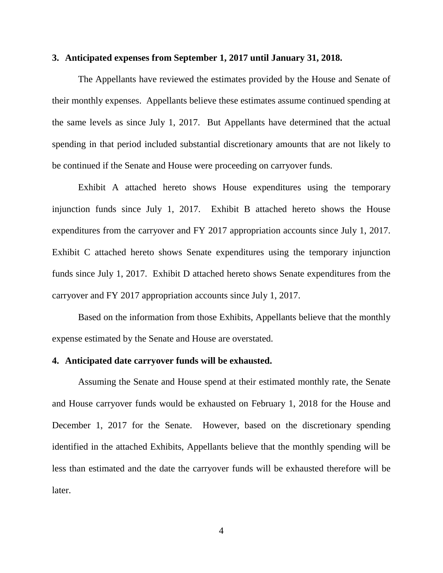#### **3. Anticipated expenses from September 1, 2017 until January 31, 2018.**

The Appellants have reviewed the estimates provided by the House and Senate of their monthly expenses. Appellants believe these estimates assume continued spending at the same levels as since July 1, 2017. But Appellants have determined that the actual spending in that period included substantial discretionary amounts that are not likely to be continued if the Senate and House were proceeding on carryover funds.

Exhibit A attached hereto shows House expenditures using the temporary injunction funds since July 1, 2017. Exhibit B attached hereto shows the House expenditures from the carryover and FY 2017 appropriation accounts since July 1, 2017. Exhibit C attached hereto shows Senate expenditures using the temporary injunction funds since July 1, 2017. Exhibit D attached hereto shows Senate expenditures from the carryover and FY 2017 appropriation accounts since July 1, 2017.

Based on the information from those Exhibits, Appellants believe that the monthly expense estimated by the Senate and House are overstated.

#### **4. Anticipated date carryover funds will be exhausted.**

Assuming the Senate and House spend at their estimated monthly rate, the Senate and House carryover funds would be exhausted on February 1, 2018 for the House and December 1, 2017 for the Senate. However, based on the discretionary spending identified in the attached Exhibits, Appellants believe that the monthly spending will be less than estimated and the date the carryover funds will be exhausted therefore will be later.